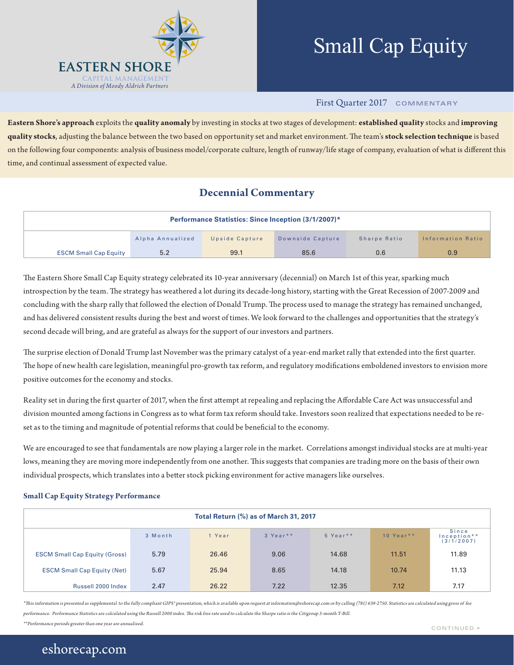

# Small Cap Equity

#### First Quarter 2017 **COMMENTARY**

**Eastern Shore's approach** exploits the **quality anomaly** by investing in stocks at two stages of development: **established quality** stocks and **improving quality stocks**, adjusting the balance between the two based on opportunity set and market environment. The team's **stock selection technique** is based on the following four components: analysis of business model/corporate culture, length of runway/life stage of company, evaluation of what is different this time, and continual assessment of expected value.

### **Decennial Commentary**

| <b>Performance Statistics: Since Inception (3/1/2007)*</b> |                  |                |                  |              |                   |  |  |
|------------------------------------------------------------|------------------|----------------|------------------|--------------|-------------------|--|--|
|                                                            | Alpha Annualized | Upside Capture | Downside Capture | Sharpe Ratio | Information Ratio |  |  |
| <b>ESCM Small Cap Equity</b>                               | 5.2              | 99.1           | 85.6             | 0.6          | 0.9               |  |  |

The Eastern Shore Small Cap Equity strategy celebrated its 10-year anniversary (decennial) on March 1st of this year, sparking much introspection by the team. The strategy has weathered a lot during its decade-long history, starting with the Great Recession of 2007-2009 and concluding with the sharp rally that followed the election of Donald Trump. The process used to manage the strategy has remained unchanged, and has delivered consistent results during the best and worst of times. We look forward to the challenges and opportunities that the strategy's second decade will bring, and are grateful as always for the support of our investors and partners.

The surprise election of Donald Trump last November was the primary catalyst of a year-end market rally that extended into the first quarter. The hope of new health care legislation, meaningful pro-growth tax reform, and regulatory modifications emboldened investors to envision more positive outcomes for the economy and stocks.

Reality set in during the first quarter of 2017, when the first attempt at repealing and replacing the Affordable Care Act was unsuccessful and division mounted among factions in Congress as to what form tax reform should take. Investors soon realized that expectations needed to be reset as to the timing and magnitude of potential reforms that could be beneficial to the economy.

We are encouraged to see that fundamentals are now playing a larger role in the market. Correlations amongst individual stocks are at multi-year lows, meaning they are moving more independently from one another. This suggests that companies are trading more on the basis of their own individual prospects, which translates into a better stock picking environment for active managers like ourselves.

#### **Small Cap Equity Strategy Performance**

| Total Return (%) as of March 31, 2017 |         |        |          |          |            |                                    |  |
|---------------------------------------|---------|--------|----------|----------|------------|------------------------------------|--|
|                                       | 3 Month | 1 Year | 3 Year** | 5 Year** | 10 Year ** | Since<br>Inception**<br>(3/1/2007) |  |
| <b>ESCM Small Cap Equity (Gross)</b>  | 5.79    | 26,46  | 9.06     | 14.68    | 11.51      | 11.89                              |  |
| <b>ESCM Small Cap Equity (Net)</b>    | 5.67    | 25.94  | 8.65     | 14.18    | 10.74      | 11.13                              |  |
| Russell 2000 Index                    | 2.47    | 26.22  | 7.22     | 12.35    | 7.12       | 7.17                               |  |

\*This information is presented as supplemental to the fully compliant GIPS\* presentation, which is available upon request at information@eshorecap.com or by calling (781) 639-2750. Statistics are calculated using gross of performance. Performance Statistics are calculated using the Russell 2000 index. The risk free rate used to calculate the Sharpe ratio is the Citigroup 3-month T-Bill.

\*\*Performance periods greater than one year are annualized. **CONTINUED »**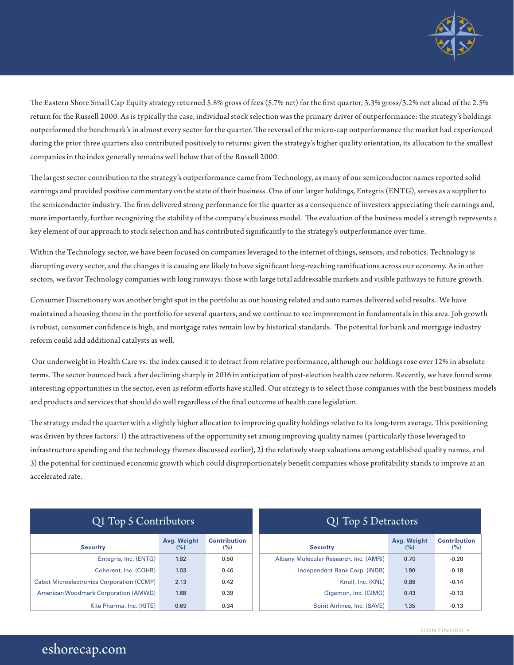

The Eastern Shore Small Cap Equity strategy returned 5.8% gross of fees (5.7% net) for the first quarter, 3.3% gross/3.2% net ahead of the 2.5% return for the Russell 2000. As is typically the case, individual stock selection was the primary driver of outperformance: the strategy's holdings outperformed the benchmark's in almost every sector for the quarter. The reversal of the micro-cap outperformance the market had experienced during the prior three quarters also contributed positively to returns: given the strategy's higher quality orientation, its allocation to the smallest companies in the index generally remains well below that of the Russell 2000.

The largest sector contribution to the strategy's outperformance came from Technology, as many of our semiconductor names reported solid earnings and provided positive commentary on the state of their business. One of our larger holdings, Entegris (ENTG), serves as a supplier to the semiconductor industry. The firm delivered strong performance for the quarter as a consequence of investors appreciating their earnings and, more importantly, further recognizing the stability of the company's business model. The evaluation of the business model's strength represents a key element of our approach to stock selection and has contributed significantly to the strategy's outperformance over time.

Within the Technology sector, we have been focused on companies leveraged to the internet of things, sensors, and robotics. Technology is disrupting every sector, and the changes it is causing are likely to have significant long-reaching ramifications across our economy. As in other sectors, we favor Technology companies with long runways: those with large total addressable markets and visible pathways to future growth.

Consumer Discretionary was another bright spot in the portfolio as our housing related and auto names delivered solid results. We have maintained a housing theme in the portfolio for several quarters, and we continue to see improvement in fundamentals in this area. Job growth is robust, consumer confidence is high, and mortgage rates remain low by historical standards. The potential for bank and mortgage industry reform could add additional catalysts as well.

 Our underweight in Health Care vs. the index caused it to detract from relative performance, although our holdings rose over 12% in absolute terms. The sector bounced back after declining sharply in 2016 in anticipation of post-election health care reform. Recently, we have found some interesting opportunities in the sector, even as reform efforts have stalled. Our strategy is to select those companies with the best business models and products and services that should do well regardless of the final outcome of health care legislation.

The strategy ended the quarter with a slightly higher allocation to improving quality holdings relative to its long-term average. This positioning was driven by three factors: 1) the attractiveness of the opportunity set among improving quality names (particularly those leveraged to infrastructure spending and the technology themes discussed earlier), 2) the relatively steep valuations among established quality names, and 3) the potential for continued economic growth which could disproportionately benefit companies whose profitability stands to improve at an accelerated rate.

| Q1 Top 5 Contributors                            |                    |                            |  |  |
|--------------------------------------------------|--------------------|----------------------------|--|--|
| <b>Security</b>                                  | Avg. Weight<br>(%) | <b>Contribution</b><br>(%) |  |  |
| Entegris, Inc. (ENTG)                            | 1.82               | 0.50                       |  |  |
| Coherent, Inc. (COHR)                            | 1.03               | 0.46                       |  |  |
| <b>Cabot Microelectronics Corporation (CCMP)</b> | 2.13               | 0.42                       |  |  |
| <b>American Woodmark Corporation (AMWD)</b>      | 1.88               | 0.39                       |  |  |
| Kite Pharma, Inc. (KITE)                         | 0.69               | 0.34                       |  |  |

## Q1 Top 5 Detractors

| <b>Security</b>                        | Avg. Weight<br>(%) | <b>Contribution</b><br>(%) |
|----------------------------------------|--------------------|----------------------------|
| Albany Molecular Research, Inc. (AMRI) | 0.70               | $-0.20$                    |
| Independent Bank Corp. (INDB)          | 1.90               | $-0.18$                    |
| Knoll, Inc. (KNL)                      | 0.88               | $-0.14$                    |
| Gigamon, Inc. (GIMO)                   | 0.43               | $-0.13$                    |
| Spirit Airlines, Inc. (SAVE)           | 1.35               | $-0.13$                    |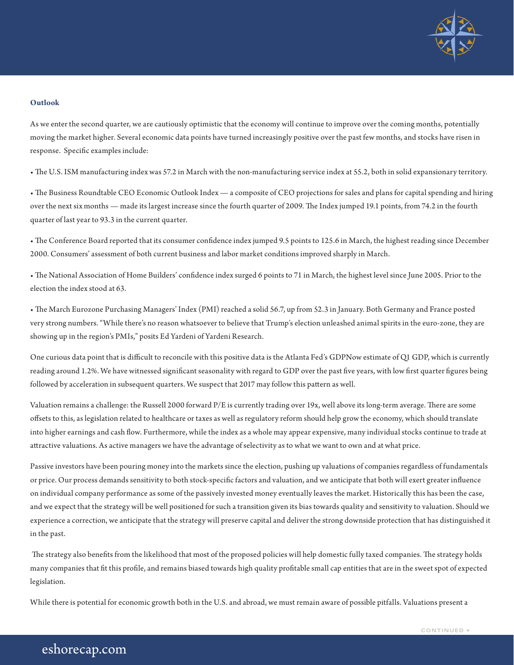

#### **Outlook**

As we enter the second quarter, we are cautiously optimistic that the economy will continue to improve over the coming months, potentially moving the market higher. Several economic data points have turned increasingly positive over the past few months, and stocks have risen in response. Specific examples include:

• The U.S. ISM manufacturing index was 57.2 in March with the non-manufacturing service index at 55.2, both in solid expansionary territory.

• The Business Roundtable CEO Economic Outlook Index — a composite of CEO projections for sales and plans for capital spending and hiring over the next six months — made its largest increase since the fourth quarter of 2009. The Index jumped 19.1 points, from 74.2 in the fourth quarter of last year to 93.3 in the current quarter.

• The Conference Board reported that its consumer confidence index jumped 9.5 points to 125.6 in March, the highest reading since December 2000. Consumers' assessment of both current business and labor market conditions improved sharply in March.

• The National Association of Home Builders' confidence index surged 6 points to 71 in March, the highest level since June 2005. Prior to the election the index stood at 63.

• The March Eurozone Purchasing Managers' Index (PMI) reached a solid 56.7, up from 52.3 in January. Both Germany and France posted very strong numbers. "While there's no reason whatsoever to believe that Trump's election unleashed animal spirits in the euro-zone, they are showing up in the region's PMIs," posits Ed Yardeni of Yardeni Research.

One curious data point that is difficult to reconcile with this positive data is the Atlanta Fed's GDPNow estimate of Q1 GDP, which is currently reading around 1.2%. We have witnessed significant seasonality with regard to GDP over the past five years, with low first quarter figures being followed by acceleration in subsequent quarters. We suspect that 2017 may follow this pattern as well.

Valuation remains a challenge: the Russell 2000 forward P/E is currently trading over 19x, well above its long-term average. There are some offsets to this, as legislation related to healthcare or taxes as well as regulatory reform should help grow the economy, which should translate into higher earnings and cash flow. Furthermore, while the index as a whole may appear expensive, many individual stocks continue to trade at attractive valuations. As active managers we have the advantage of selectivity as to what we want to own and at what price.

Passive investors have been pouring money into the markets since the election, pushing up valuations of companies regardless of fundamentals or price. Our process demands sensitivity to both stock-specific factors and valuation, and we anticipate that both will exert greater influence on individual company performance as some of the passively invested money eventually leaves the market. Historically this has been the case, and we expect that the strategy will be well positioned for such a transition given its bias towards quality and sensitivity to valuation. Should we experience a correction, we anticipate that the strategy will preserve capital and deliver the strong downside protection that has distinguished it in the past.

 The strategy also benefits from the likelihood that most of the proposed policies will help domestic fully taxed companies. The strategy holds many companies that fit this profile, and remains biased towards high quality profitable small cap entities that are in the sweet spot of expected legislation.

While there is potential for economic growth both in the U.S. and abroad, we must remain aware of possible pitfalls. Valuations present a